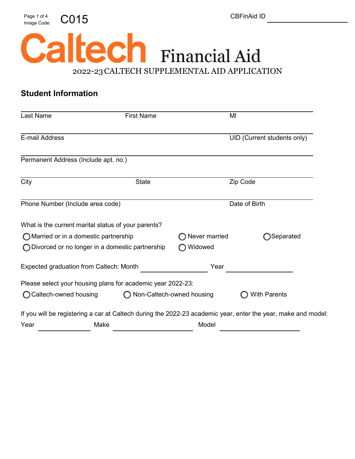Page 1 of 4  $\bigcirc$   $015$  CD  $\bigcirc$  CBFinAid ID



### **Student Information**

| Last Name                                           |                         | <b>First Name</b>                                           |                           | MI                                                                                                            |
|-----------------------------------------------------|-------------------------|-------------------------------------------------------------|---------------------------|---------------------------------------------------------------------------------------------------------------|
| E-mail Address                                      |                         |                                                             |                           | UID (Current students only)                                                                                   |
| Permanent Address (Include apt. no.)                |                         |                                                             |                           |                                                                                                               |
| City                                                |                         | <b>State</b>                                                |                           | Zip Code                                                                                                      |
| Phone Number (Include area code)                    |                         |                                                             | Date of Birth             |                                                                                                               |
| What is the current marital status of your parents? |                         |                                                             |                           |                                                                                                               |
| ◯ Married or in a domestic partnership              |                         |                                                             | Never married             | )Separated                                                                                                    |
| ◯ Divorced or no longer in a domestic partnership   |                         | Widowed                                                     |                           |                                                                                                               |
| Expected graduation from Caltech: Month             |                         | Year                                                        |                           |                                                                                                               |
|                                                     |                         | Please select your housing plans for academic year 2022-23: |                           |                                                                                                               |
|                                                     | ◯ Caltech-owned housing |                                                             | Non-Caltech-owned housing | <b>With Parents</b>                                                                                           |
|                                                     |                         |                                                             |                           | If you will be registering a car at Caltech during the 2022-23 academic year, enter the year, make and model: |
| Year                                                | Make                    |                                                             | Model                     |                                                                                                               |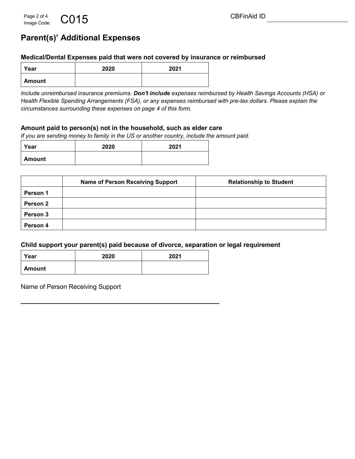# **Parent(s)' Additional Expenses**

#### **Medical/Dental Expenses paid that were not covered by insurance or reimbursed**

| Year   | 2020 | 2021 |
|--------|------|------|
| Amount |      |      |

*Include unreimbursed insurance premiums. Don't include expenses reimbursed by Health Savings Accounts (HSA) or Health Flexible Spending Arrangements (FSA), or any expenses reimbursed with pre-tax dollars. Please explain the circumstances surrounding these expenses on page 4 of this form.* 

#### **Amount paid to person(s) not in the household, such as elder care**

*If you are sending money to family in the US or another country, include the amount paid.*

| Year   | 2020 | 2021 |
|--------|------|------|
| Amount |      |      |

|                 | <b>Name of Person Receiving Support</b> | <b>Relationship to Student</b> |
|-----------------|-----------------------------------------|--------------------------------|
| <b>Person 1</b> |                                         |                                |
| Person 2        |                                         |                                |
| Person 3        |                                         |                                |
| Person 4        |                                         |                                |

#### **Child support your parent(s) paid because of divorce, separation or legal requirement**

| Year          | 2020 | 2021 |
|---------------|------|------|
| <b>Amount</b> |      |      |

Name of Person Receiving Support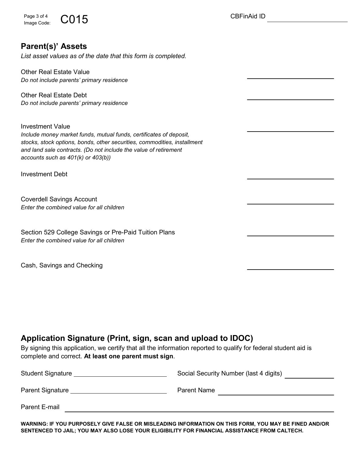Page 3 of 4  $\bigcirc$   $015$  CD  $\bigcirc$  CBFinAid ID Image Code:

### **Parent(s)' Assets**

*List asset values as of the date that this form is completed.*

Other Real Estate Value *Do not include parents' primary residence*

Other Real Estate Debt *Do not include parents' primary residence*

Investment Value *Include money market funds, mutual funds, certificates of deposit, stocks, stock options, bonds, other securities, commodities, installment and land sale contracts. (Do not include the value of retirement accounts such as 401(k) or 403(b))*

Investment Debt

Coverdell Savings Account *Enter the combined value for all children*

Section 529 College Savings or Pre-Paid Tuition Plans *Enter the combined value for all children*

Cash, Savings and Checking

# **Application Signature (Print, sign, scan and upload to IDOC)**

By signing this application, we certify that all the information reported to qualify for federal student aid is complete and correct. **At least one parent must sign**.

| <b>Student Signature</b> | Social Security Number (last 4 digits) |
|--------------------------|----------------------------------------|
| <b>Parent Signature</b>  | <b>Parent Name</b>                     |
| Parent E-mail            |                                        |

**WARNING: IF YOU PURPOSELY GIVE FALSE OR MISLEADING INFORMATION ON THIS FORM, YOU MAY BE FINED AND/OR SENTENCED TO JAIL; YOU MAY ALSO LOSE YOUR ELIGIBILITY FOR FINANCIAL ASSISTANCE FROM CALTECH.**